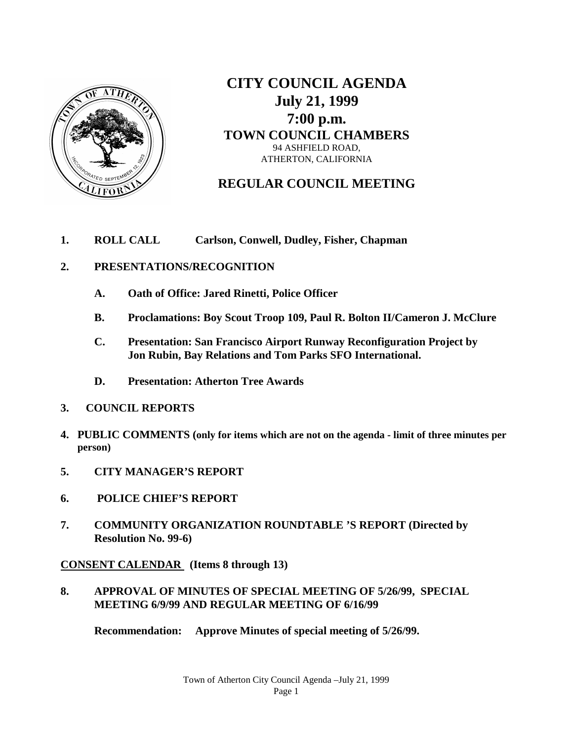

**CITY COUNCIL AGENDA July 21, 1999 7:00 p.m. TOWN COUNCIL CHAMBERS** 94 ASHFIELD ROAD, ATHERTON, CALIFORNIA

**REGULAR COUNCIL MEETING**

**1. ROLL CALL Carlson, Conwell, Dudley, Fisher, Chapman**

### **2. PRESENTATIONS/RECOGNITION**

- **A. Oath of Office: Jared Rinetti, Police Officer**
- **B. Proclamations: Boy Scout Troop 109, Paul R. Bolton II/Cameron J. McClure**
- **C. Presentation: San Francisco Airport Runway Reconfiguration Project by Jon Rubin, Bay Relations and Tom Parks SFO International.**
- **D. Presentation: Atherton Tree Awards**
- **3. COUNCIL REPORTS**
- **4. PUBLIC COMMENTS (only for items which are not on the agenda - limit of three minutes per person)**
- **5. CITY MANAGER'S REPORT**
- **6. POLICE CHIEF'S REPORT**
- **7. COMMUNITY ORGANIZATION ROUNDTABLE 'S REPORT (Directed by Resolution No. 99-6)**

**CONSENT CALENDAR (Items 8 through 13)**

**8. APPROVAL OF MINUTES OF SPECIAL MEETING OF 5/26/99, SPECIAL MEETING 6/9/99 AND REGULAR MEETING OF 6/16/99**

**Recommendation: Approve Minutes of special meeting of 5/26/99.**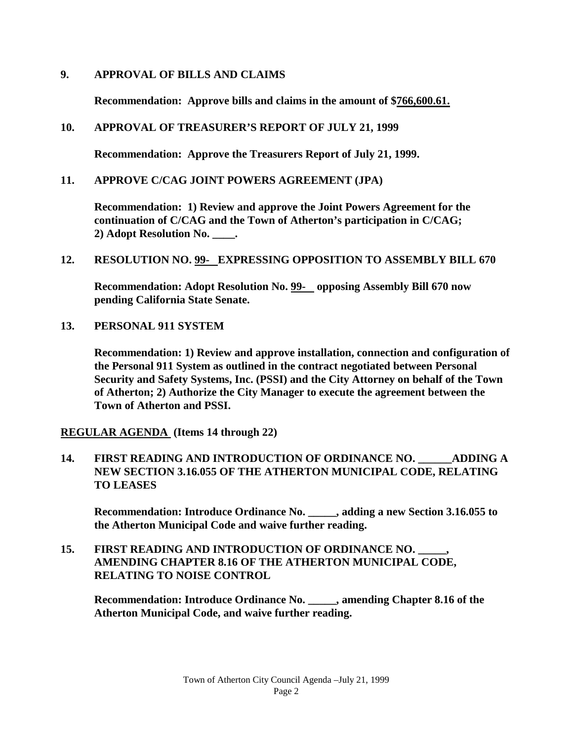### **9. APPROVAL OF BILLS AND CLAIMS**

**Recommendation: Approve bills and claims in the amount of \$766,600.61.**

## **10. APPROVAL OF TREASURER'S REPORT OF JULY 21, 1999**

**Recommendation: Approve the Treasurers Report of July 21, 1999.**

## **11. APPROVE C/CAG JOINT POWERS AGREEMENT (JPA)**

**Recommendation: 1) Review and approve the Joint Powers Agreement for the continuation of C/CAG and the Town of Atherton's participation in C/CAG; 2) Adopt Resolution No. \_\_\_\_.**

**12. RESOLUTION NO. 99- EXPRESSING OPPOSITION TO ASSEMBLY BILL 670**

**Recommendation: Adopt Resolution No. 99- opposing Assembly Bill 670 now pending California State Senate.** 

**13. PERSONAL 911 SYSTEM**

**Recommendation: 1) Review and approve installation, connection and configuration of the Personal 911 System as outlined in the contract negotiated between Personal Security and Safety Systems, Inc. (PSSI) and the City Attorney on behalf of the Town of Atherton; 2) Authorize the City Manager to execute the agreement between the Town of Atherton and PSSI.**

**REGULAR AGENDA (Items 14 through 22)**

**14. FIRST READING AND INTRODUCTION OF ORDINANCE NO. \_\_\_\_\_\_ADDING A NEW SECTION 3.16.055 OF THE ATHERTON MUNICIPAL CODE, RELATING TO LEASES**

**Recommendation: Introduce Ordinance No. \_\_\_\_\_, adding a new Section 3.16.055 to the Atherton Municipal Code and waive further reading.**

**15. FIRST READING AND INTRODUCTION OF ORDINANCE NO. \_\_\_\_\_, AMENDING CHAPTER 8.16 OF THE ATHERTON MUNICIPAL CODE, RELATING TO NOISE CONTROL** 

**Recommendation: Introduce Ordinance No. \_\_\_\_\_, amending Chapter 8.16 of the Atherton Municipal Code, and waive further reading.**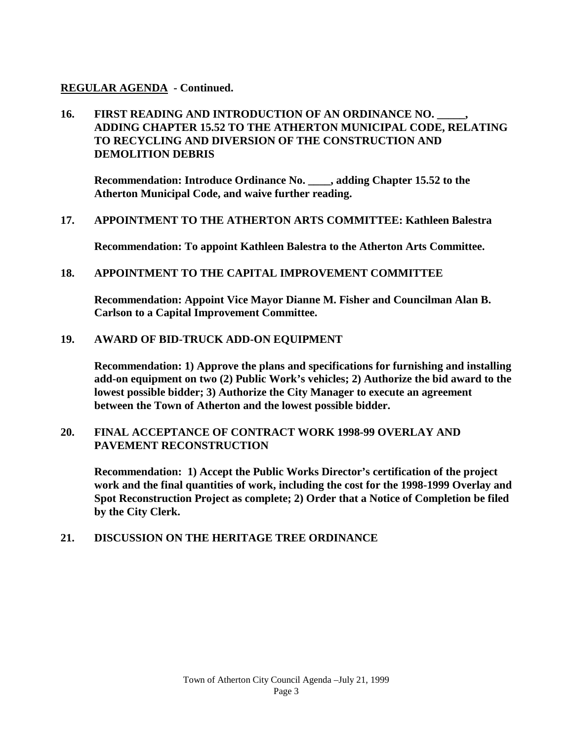### **REGULAR AGENDA - Continued.**

# **16. FIRST READING AND INTRODUCTION OF AN ORDINANCE NO. \_\_\_\_\_, ADDING CHAPTER 15.52 TO THE ATHERTON MUNICIPAL CODE, RELATING TO RECYCLING AND DIVERSION OF THE CONSTRUCTION AND DEMOLITION DEBRIS**

**Recommendation: Introduce Ordinance No. \_\_\_\_, adding Chapter 15.52 to the Atherton Municipal Code, and waive further reading.** 

#### **17. APPOINTMENT TO THE ATHERTON ARTS COMMITTEE: Kathleen Balestra**

**Recommendation: To appoint Kathleen Balestra to the Atherton Arts Committee.**

#### **18. APPOINTMENT TO THE CAPITAL IMPROVEMENT COMMITTEE**

**Recommendation: Appoint Vice Mayor Dianne M. Fisher and Councilman Alan B. Carlson to a Capital Improvement Committee.**

#### **19. AWARD OF BID-TRUCK ADD-ON EQUIPMENT**

**Recommendation: 1) Approve the plans and specifications for furnishing and installing add-on equipment on two (2) Public Work's vehicles; 2) Authorize the bid award to the lowest possible bidder; 3) Authorize the City Manager to execute an agreement between the Town of Atherton and the lowest possible bidder.**

#### **20. FINAL ACCEPTANCE OF CONTRACT WORK 1998-99 OVERLAY AND PAVEMENT RECONSTRUCTION**

**Recommendation: 1) Accept the Public Works Director's certification of the project work and the final quantities of work, including the cost for the 1998-1999 Overlay and Spot Reconstruction Project as complete; 2) Order that a Notice of Completion be filed by the City Clerk.**

#### **21. DISCUSSION ON THE HERITAGE TREE ORDINANCE**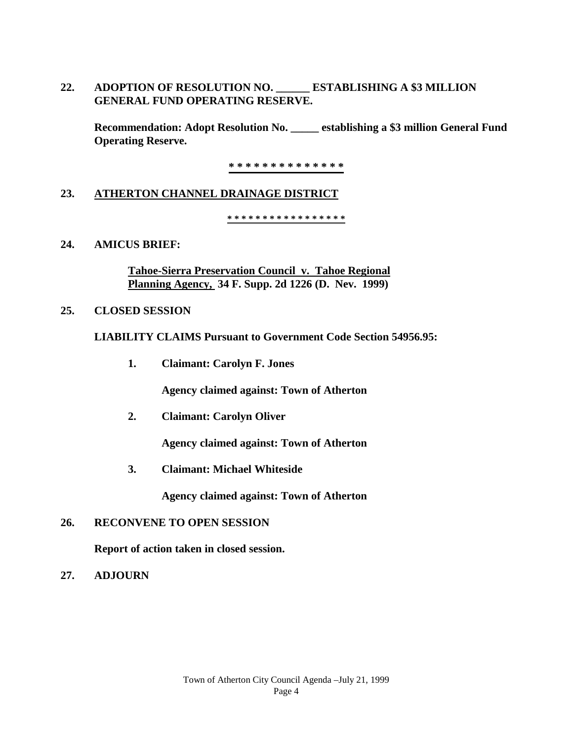**22. ADOPTION OF RESOLUTION NO. \_\_\_\_\_\_ ESTABLISHING A \$3 MILLION GENERAL FUND OPERATING RESERVE.**

**Recommendation: Adopt Resolution No. \_\_\_\_\_ establishing a \$3 million General Fund Operating Reserve.** 

**\* \* \* \* \* \* \* \* \* \* \* \* \* \***

### **23. ATHERTON CHANNEL DRAINAGE DISTRICT**

**\* \* \* \* \* \* \* \* \* \* \* \* \* \* \* \* \*** 

#### **24. AMICUS BRIEF:**

**Tahoe-Sierra Preservation Council v. Tahoe Regional Planning Agency, 34 F. Supp. 2d 1226 (D. Nev. 1999)**

#### **25. CLOSED SESSION**

**LIABILITY CLAIMS Pursuant to Government Code Section 54956.95:**

**1. Claimant: Carolyn F. Jones**

**Agency claimed against: Town of Atherton**

**2. Claimant: Carolyn Oliver**

**Agency claimed against: Town of Atherton**

**3. Claimant: Michael Whiteside**

**Agency claimed against: Town of Atherton**

### **26. RECONVENE TO OPEN SESSION**

**Report of action taken in closed session.**

**27. ADJOURN**